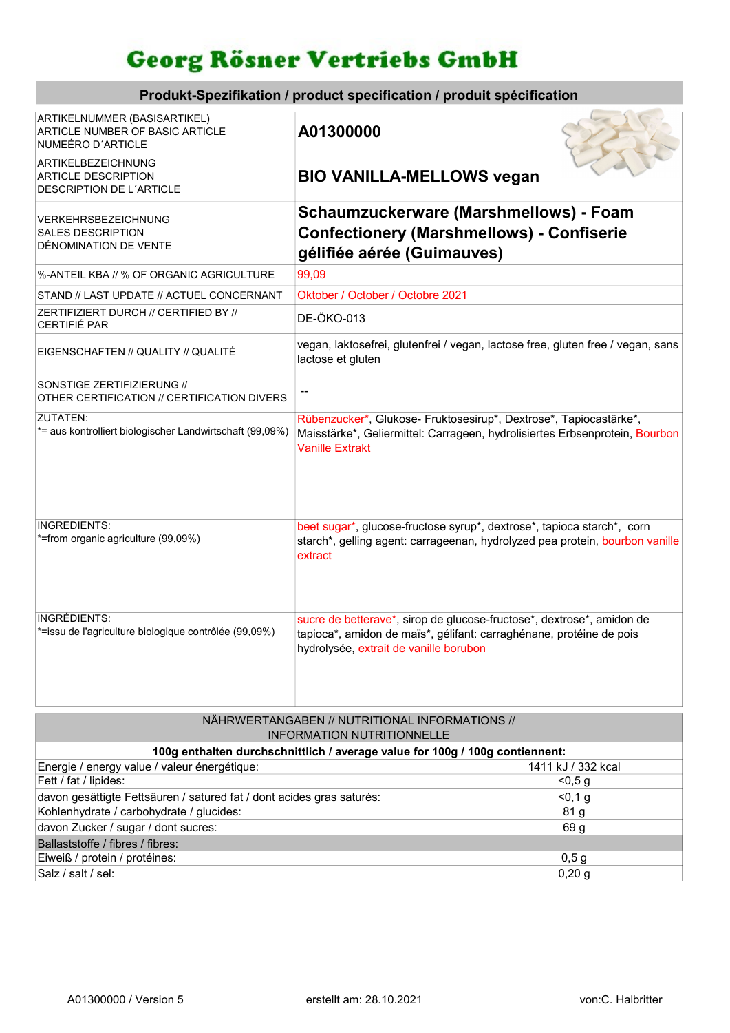## Georg Rösner Vertriebs GmbH

| Produkt-Spezifikation / product specification / produit spécification                |                                                                                                                                                                                        |  |  |
|--------------------------------------------------------------------------------------|----------------------------------------------------------------------------------------------------------------------------------------------------------------------------------------|--|--|
| ARTIKELNUMMER (BASISARTIKEL)<br>ARTICLE NUMBER OF BASIC ARTICLE<br>NUMEÉRO D'ARTICLE | A01300000                                                                                                                                                                              |  |  |
| ARTIKELBEZEICHNUNG<br><b>ARTICLE DESCRIPTION</b><br>DESCRIPTION DE L'ARTICLE         | <b>BIO VANILLA-MELLOWS vegan</b>                                                                                                                                                       |  |  |
| <b>VERKEHRSBEZEICHNUNG</b><br><b>SALES DESCRIPTION</b><br>DÉNOMINATION DE VENTE      | Schaumzuckerware (Marshmellows) - Foam<br><b>Confectionery (Marshmellows) - Confiserie</b><br>gélifiée aérée (Guimauves)                                                               |  |  |
| %-ANTEIL KBA // % OF ORGANIC AGRICULTURE                                             | 99,09                                                                                                                                                                                  |  |  |
| STAND // LAST UPDATE // ACTUEL CONCERNANT                                            | Oktober / October / Octobre 2021                                                                                                                                                       |  |  |
| ZERTIFIZIERT DURCH // CERTIFIED BY //<br>CERTIFIÉ PAR                                | DE-ÖKO-013                                                                                                                                                                             |  |  |
| EIGENSCHAFTEN // QUALITY // QUALITÉ                                                  | vegan, laktosefrei, glutenfrei / vegan, lactose free, gluten free / vegan, sans<br>lactose et gluten                                                                                   |  |  |
| SONSTIGE ZERTIFIZIERUNG //<br>OTHER CERTIFICATION // CERTIFICATION DIVERS            | --                                                                                                                                                                                     |  |  |
| ZUTATEN:<br>*= aus kontrolliert biologischer Landwirtschaft (99,09%)                 | Rübenzucker*, Glukose- Fruktosesirup*, Dextrose*, Tapiocastärke*,<br>Maisstärke*, Geliermittel: Carrageen, hydrolisiertes Erbsenprotein, Bourbon<br><b>Vanille Extrakt</b>             |  |  |
| INGREDIENTS:<br>*=from organic agriculture (99,09%)                                  | beet sugar*, glucose-fructose syrup*, dextrose*, tapioca starch*, corn<br>starch*, gelling agent: carrageenan, hydrolyzed pea protein, bourbon vanille<br>extract                      |  |  |
| INGRÉDIENTS:<br>*=issu de l'agriculture biologique contrôlée (99,09%)                | sucre de betterave*, sirop de glucose-fructose*, dextrose*, amidon de<br>tapioca*, amidon de maïs*, gélifant: carraghénane, protéine de pois<br>hydrolysée, extrait de vanille borubon |  |  |

| NÄHRWERTANGABEN // NUTRITIONAL INFORMATIONS //                               |                    |  |  |  |  |
|------------------------------------------------------------------------------|--------------------|--|--|--|--|
| INFORMATION NUTRITIONNELLE                                                   |                    |  |  |  |  |
| 100g enthalten durchschnittlich / average value for 100g / 100g contiennent: |                    |  |  |  |  |
| Energie / energy value / valeur énergétique:                                 | 1411 kJ / 332 kcal |  |  |  |  |
| Fett / fat / lipides:                                                        | < 0.5 g            |  |  |  |  |
| davon gesättigte Fettsäuren / satured fat / dont acides gras saturés:        | < 0, 1, g          |  |  |  |  |
| Kohlenhydrate / carbohydrate / glucides:                                     | 81 <sub>g</sub>    |  |  |  |  |
| davon Zucker / sugar / dont sucres:                                          | 69 q               |  |  |  |  |
| Ballaststoffe / fibres / fibres:                                             |                    |  |  |  |  |
| Eiweiß / protein / protéines:                                                | 0,5g               |  |  |  |  |
| Salz / salt / sel:                                                           | 0,20,9             |  |  |  |  |